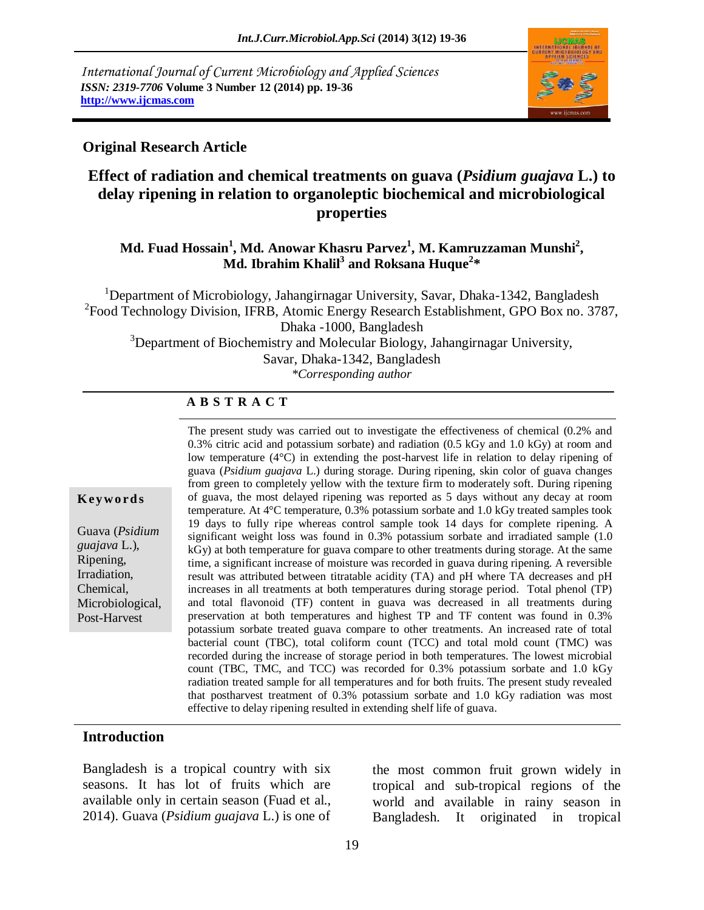*International Journal of Current Microbiology and Applied Sciences ISSN: 2319-7706* **Volume 3 Number 12 (2014) pp. 19-36 http://www.ijcmas.com** 



#### **Original Research Article**

# **Effect of radiation and chemical treatments on guava (***Psidium guajava* **L.) to delay ripening in relation to organoleptic biochemical and microbiological properties**

### **Md. Fuad Hossain<sup>1</sup> , Md. Anowar Khasru Parvez<sup>1</sup> , M. Kamruzzaman Munshi<sup>2</sup> , Md. Ibrahim Khalil<sup>3</sup> and Roksana Huque<sup>2</sup> \***

<sup>1</sup>Department of Microbiology, Jahangirnagar University, Savar, Dhaka-1342, Bangladesh <sup>2</sup> Food Technology Division, IFRB, Atomic Energy Research Establishment, GPO Box no. 3787, Dhaka -1000, Bangladesh  $3$ Department of Biochemistry and Molecular Biology, Jahangirnagar University, Savar, Dhaka-1342, Bangladesh

*\*Corresponding author*

#### **A B S T R A C T**

#### **K ey w o rd s**

Guava (*Psidium guajava* L.), Ripening, Irradiation, Chemical, Microbiological, Post-Harvest

The present study was carried out to investigate the effectiveness of chemical (0.2% and 0.3% citric acid and potassium sorbate) and radiation (0.5 kGy and 1.0 kGy) at room and low temperature (4°C) in extending the post-harvest life in relation to delay ripening of guava (*Psidium guajava* L.) during storage. During ripening, skin color of guava changes from green to completely yellow with the texture firm to moderately soft. During ripening of guava, the most delayed ripening was reported as 5 days without any decay at room temperature. At 4°C temperature, 0.3% potassium sorbate and 1.0 kGy treated samples took 19 days to fully ripe whereas control sample took 14 days for complete ripening. A significant weight loss was found in 0.3% potassium sorbate and irradiated sample (1.0 kGy) at both temperature for guava compare to other treatments during storage. At the same time, a significant increase of moisture was recorded in guava during ripening. A reversible result was attributed between titratable acidity (TA) and pH where TA decreases and pH increases in all treatments at both temperatures during storage period. Total phenol (TP) and total flavonoid (TF) content in guava was decreased in all treatments during preservation at both temperatures and highest TP and TF content was found in 0.3% potassium sorbate treated guava compare to other treatments. An increased rate of total bacterial count (TBC), total coliform count (TCC) and total mold count (TMC) was recorded during the increase of storage period in both temperatures. The lowest microbial count (TBC, TMC, and TCC) was recorded for 0.3% potassium sorbate and 1.0 kGy radiation treated sample for all temperatures and for both fruits. The present study revealed that postharvest treatment of 0.3% potassium sorbate and 1.0 kGy radiation was most effective to delay ripening resulted in extending shelf life of guava.

#### **Introduction**

Bangladesh is a tropical country with six seasons. It has lot of fruits which are available only in certain season (Fuad et al., 2014). Guava (*Psidium guajava* L.) is one of

the most common fruit grown widely in tropical and sub-tropical regions of the world and available in rainy season in Bangladesh. It originated in tropical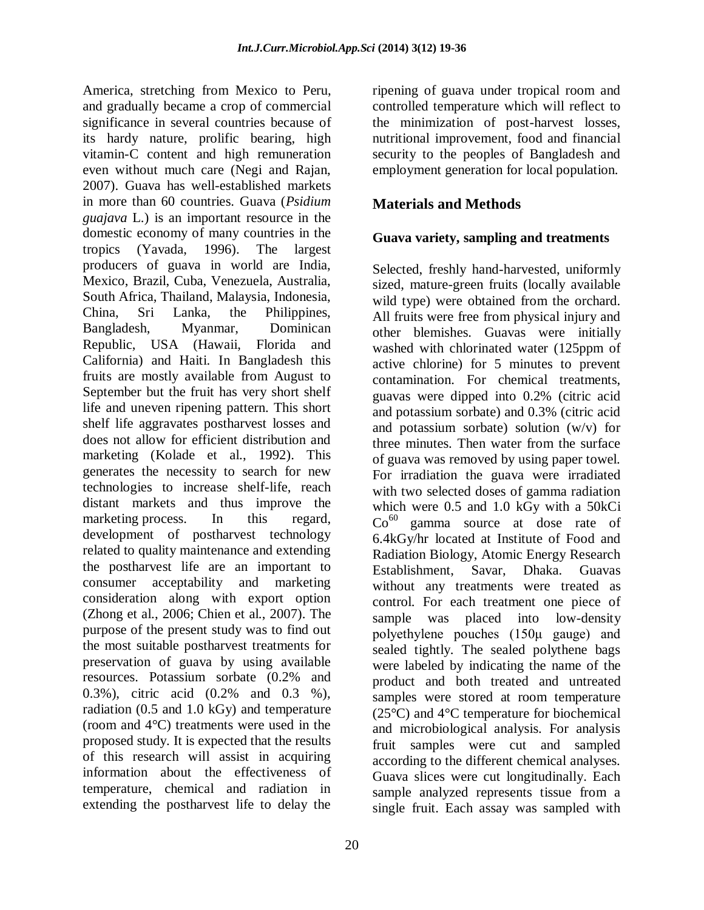America, stretching from Mexico to Peru, and gradually became a crop of commercial significance in several countries because of its hardy nature, prolific bearing, high vitamin-C content and high remuneration even without much care (Negi and Rajan, 2007). Guava has well-established markets in more than 60 countries. Guava (*Psidium guajava* L.) is an important resource in the domestic economy of many countries in the tropics (Yavada, 1996). The largest producers of guava in world are India, Mexico, Brazil, Cuba, Venezuela, Australia, South Africa, Thailand, Malaysia, Indonesia, China, Sri Lanka, the Philippines, Bangladesh, Myanmar, Dominican Republic, USA (Hawaii, Florida and California) and Haiti. In Bangladesh this fruits are mostly available from August to September but the fruit has very short shelf life and uneven ripening pattern. This short shelf life aggravates postharvest losses and does not allow for efficient distribution and marketing (Kolade et al., 1992). This generates the necessity to search for new technologies to increase shelf-life, reach distant markets and thus improve the marketing process. In this regard, development of postharvest technology related to quality maintenance and extending the postharvest life are an important to consumer acceptability and marketing consideration along with export option (Zhong et al., 2006; Chien et al., 2007). The purpose of the present study was to find out the most suitable postharvest treatments for preservation of guava by using available resources. Potassium sorbate (0.2% and 0.3%), citric acid (0.2% and 0.3 %), radiation (0.5 and 1.0 kGy) and temperature (room and 4°C) treatments were used in the proposed study. It is expected that the results of this research will assist in acquiring information about the effectiveness of temperature, chemical and radiation in extending the postharvest life to delay the

ripening of guava under tropical room and controlled temperature which will reflect to the minimization of post-harvest losses, nutritional improvement, food and financial security to the peoples of Bangladesh and employment generation for local population.

## **Materials and Methods**

### **Guava variety, sampling and treatments**

Selected, freshly hand-harvested, uniformly sized, mature-green fruits (locally available wild type) were obtained from the orchard. All fruits were free from physical injury and other blemishes. Guavas were initially washed with chlorinated water (125ppm of active chlorine) for 5 minutes to prevent contamination. For chemical treatments, guavas were dipped into 0.2% (citric acid and potassium sorbate) and 0.3% (citric acid and potassium sorbate) solution  $(w/v)$  for three minutes. Then water from the surface of guava was removed by using paper towel. For irradiation the guava were irradiated with two selected doses of gamma radiation which were 0.5 and 1.0 kGy with a 50kCi  $Co<sup>60</sup>$  gamma source at dose rate of 6.4kGy/hr located at Institute of Food and Radiation Biology, Atomic Energy Research Establishment, Savar, Dhaka. Guavas without any treatments were treated as control. For each treatment one piece of sample was placed into low-density polyethylene pouches (150μ gauge) and sealed tightly. The sealed polythene bags were labeled by indicating the name of the product and both treated and untreated samples were stored at room temperature (25°C) and 4°C temperature for biochemical and microbiological analysis. For analysis fruit samples were cut and sampled according to the different chemical analyses. Guava slices were cut longitudinally. Each sample analyzed represents tissue from a single fruit. Each assay was sampled with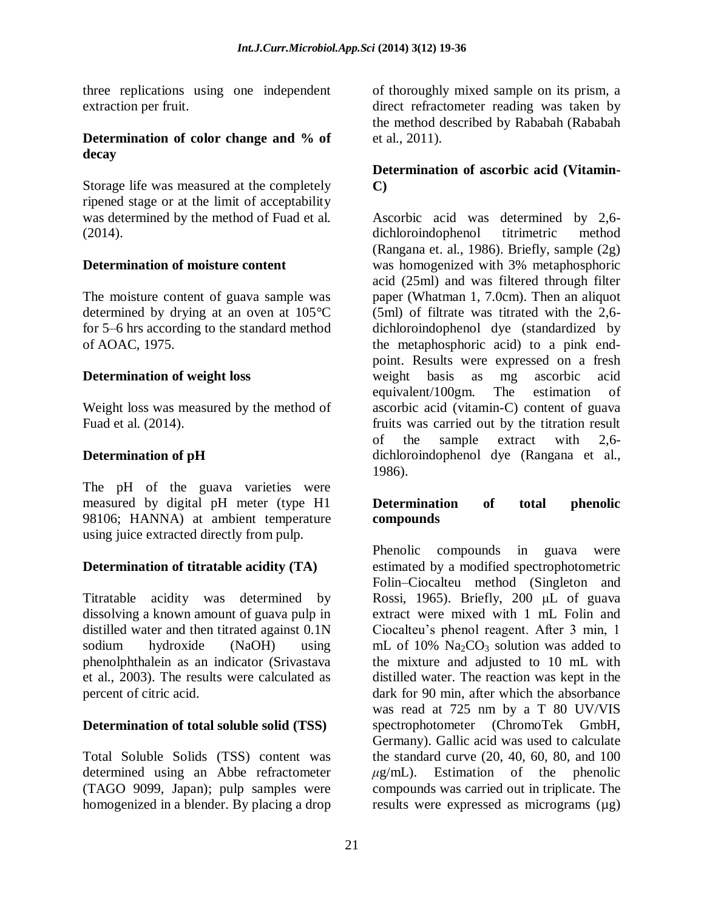three replications using one independent extraction per fruit.

### **Determination of color change and % of decay**

Storage life was measured at the completely ripened stage or at the limit of acceptability was determined by the method of Fuad et al. (2014).

### **Determination of moisture content**

The moisture content of guava sample was determined by drying at an oven at 105°C for 5–6 hrs according to the standard method of AOAC, 1975.

### **Determination of weight loss**

Weight loss was measured by the method of Fuad et al. (2014).

### **Determination of pH**

The pH of the guava varieties were measured by digital pH meter (type H1 98106; HANNA) at ambient temperature using juice extracted directly from pulp.

## **Determination of titratable acidity (TA)**

Titratable acidity was determined by dissolving a known amount of guava pulp in distilled water and then titrated against 0.1N sodium hydroxide (NaOH) using phenolphthalein as an indicator (Srivastava et al., 2003). The results were calculated as percent of citric acid.

### **Determination of total soluble solid (TSS)**

Total Soluble Solids (TSS) content was determined using an Abbe refractometer (TAGO 9099, Japan); pulp samples were homogenized in a blender. By placing a drop of thoroughly mixed sample on its prism, a direct refractometer reading was taken by the method described by Rababah (Rababah et al., 2011).

### **Determination of ascorbic acid (Vitamin-C)**

Ascorbic acid was determined by 2,6 dichloroindophenol titrimetric method (Rangana et. al., 1986). Briefly, sample (2g) was homogenized with 3% metaphosphoric acid (25ml) and was filtered through filter paper (Whatman 1, 7.0cm). Then an aliquot (5ml) of filtrate was titrated with the 2,6 dichloroindophenol dye (standardized by the metaphosphoric acid) to a pink endpoint. Results were expressed on a fresh weight basis as mg ascorbic acid equivalent/100gm. The estimation of ascorbic acid (vitamin-C) content of guava fruits was carried out by the titration result of the sample extract with 2,6 dichloroindophenol dye (Rangana et al., 1986).

### **Determination of total phenolic compounds**

Phenolic compounds in guava were estimated by a modified spectrophotometric Folin–Ciocalteu method (Singleton and Rossi, 1965). Briefly, 200 μL of guava extract were mixed with 1 mL Folin and Ciocalteu"s phenol reagent. After 3 min, 1 mL of 10%  $Na<sub>2</sub>CO<sub>3</sub>$  solution was added to the mixture and adjusted to 10 mL with distilled water. The reaction was kept in the dark for 90 min, after which the absorbance was read at 725 nm by a T 80 UV/VIS spectrophotometer (ChromoTek GmbH, Germany). Gallic acid was used to calculate the standard curve (20, 40, 60, 80, and 100 *μ*g/mL). Estimation of the phenolic compounds was carried out in triplicate. The results were expressed as micrograms (µg)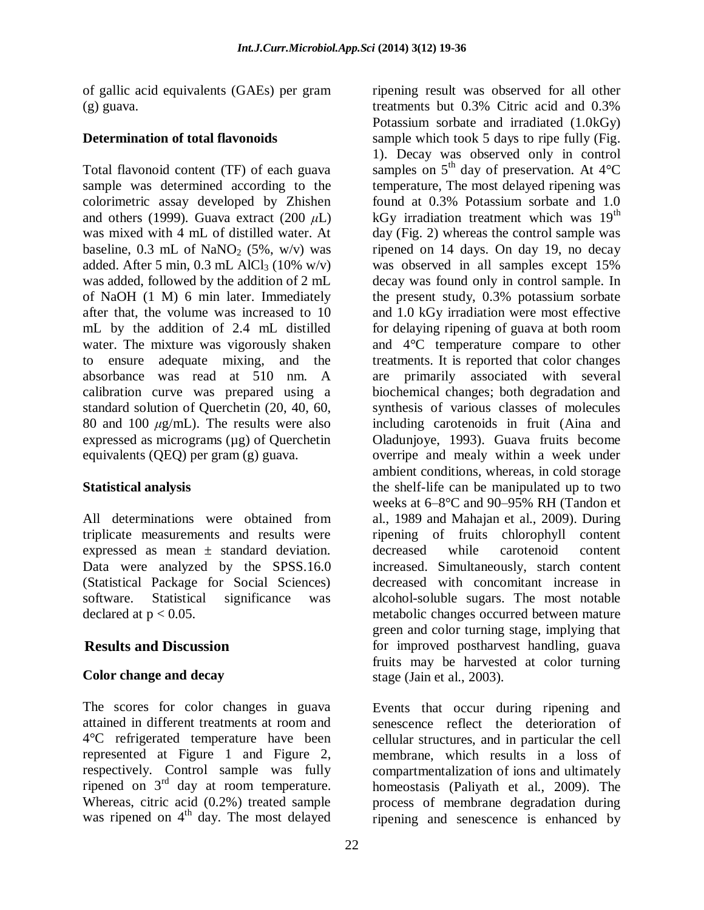of gallic acid equivalents (GAEs) per gram (g) guava.

### **Determination of total flavonoids**

Total flavonoid content (TF) of each guava sample was determined according to the colorimetric assay developed by Zhishen and others (1999). Guava extract (200 *μ*L) was mixed with 4 mL of distilled water. At baseline,  $0.3$  mL of NaNO<sub>2</sub> (5%, w/v) was added. After 5 min,  $0.3$  mL AlCl<sub>3</sub> (10% w/v) was added, followed by the addition of 2 mL of NaOH (1 M) 6 min later. Immediately after that, the volume was increased to 10 mL by the addition of 2.4 mL distilled water. The mixture was vigorously shaken to ensure adequate mixing, and the absorbance was read at 510 nm. A calibration curve was prepared using a standard solution of Querchetin (20, 40, 60, 80 and 100 *μ*g/mL). The results were also expressed as micrograms (µg) of Querchetin equivalents (QEQ) per gram (g) guava.

## **Statistical analysis**

All determinations were obtained from triplicate measurements and results were expressed as mean ± standard deviation. Data were analyzed by the SPSS.16.0 (Statistical Package for Social Sciences) software. Statistical significance was declared at  $p < 0.05$ .

## **Results and Discussion**

## **Color change and decay**

The scores for color changes in guava attained in different treatments at room and 4°C refrigerated temperature have been represented at Figure 1 and Figure 2, respectively. Control sample was fully ripened on 3<sup>rd</sup> day at room temperature. Whereas, citric acid (0.2%) treated sample was ripened on  $4<sup>th</sup>$  day. The most delayed

ripening result was observed for all other treatments but 0.3% Citric acid and 0.3% Potassium sorbate and irradiated (1.0kGy) sample which took 5 days to ripe fully (Fig. 1). Decay was observed only in control samples on  $5<sup>th</sup>$  day of preservation. At 4 $\rm{°C}$ temperature, The most delayed ripening was found at 0.3% Potassium sorbate and 1.0 kGy irradiation treatment which was  $19<sup>th</sup>$ day (Fig. 2) whereas the control sample was ripened on 14 days. On day 19, no decay was observed in all samples except 15% decay was found only in control sample. In the present study, 0.3% potassium sorbate and 1.0 kGy irradiation were most effective for delaying ripening of guava at both room and 4°C temperature compare to other treatments. It is reported that color changes are primarily associated with several biochemical changes; both degradation and synthesis of various classes of molecules including carotenoids in fruit (Aina and Oladunjoye, 1993). Guava fruits become overripe and mealy within a week under ambient conditions, whereas, in cold storage the shelf-life can be manipulated up to two weeks at 6–8°C and 90–95% RH (Tandon et al., 1989 and Mahajan et al., 2009). During ripening of fruits chlorophyll content decreased while carotenoid content increased. Simultaneously, starch content decreased with concomitant increase in alcohol-soluble sugars. The most notable metabolic changes occurred between mature green and color turning stage, implying that for improved postharvest handling, guava fruits may be harvested at color turning stage (Jain et al., 2003).

Events that occur during ripening and senescence reflect the deterioration of cellular structures, and in particular the cell membrane, which results in a loss of compartmentalization of ions and ultimately homeostasis (Paliyath et al., 2009). The process of membrane degradation during ripening and senescence is enhanced by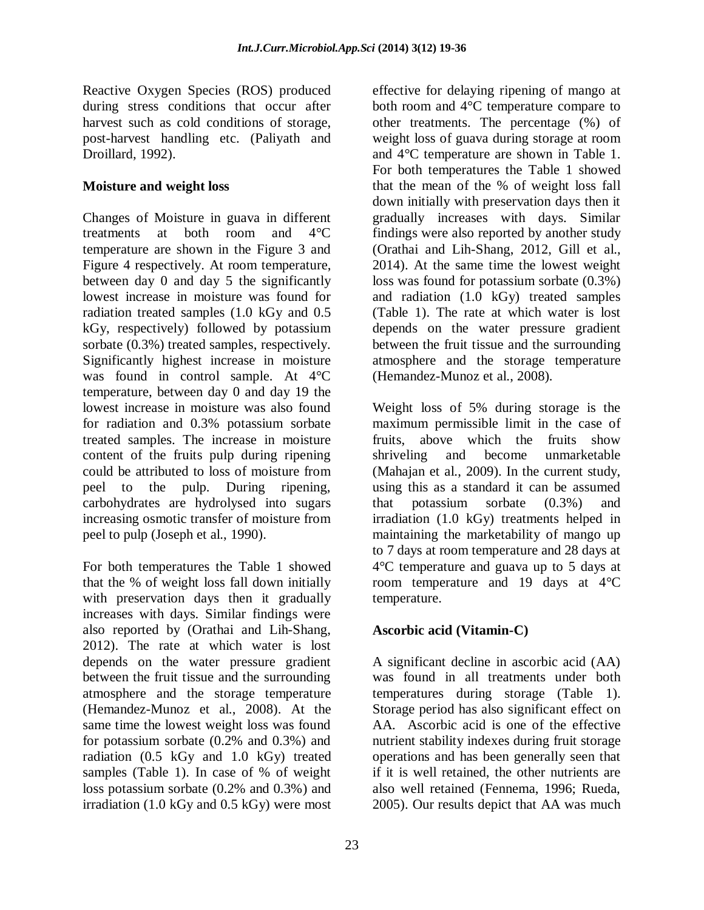Reactive Oxygen Species (ROS) produced during stress conditions that occur after harvest such as cold conditions of storage, post-harvest handling etc. (Paliyath and Droillard, 1992).

### **Moisture and weight loss**

Changes of Moisture in guava in different treatments at both room and 4°C temperature are shown in the Figure 3 and Figure 4 respectively. At room temperature, between day 0 and day 5 the significantly lowest increase in moisture was found for radiation treated samples (1.0 kGy and 0.5 kGy, respectively) followed by potassium sorbate (0.3%) treated samples, respectively. Significantly highest increase in moisture was found in control sample. At 4°C temperature, between day 0 and day 19 the lowest increase in moisture was also found for radiation and 0.3% potassium sorbate treated samples. The increase in moisture content of the fruits pulp during ripening could be attributed to loss of moisture from peel to the pulp. During ripening, carbohydrates are hydrolysed into sugars increasing osmotic transfer of moisture from peel to pulp (Joseph et al., 1990).

For both temperatures the Table 1 showed that the % of weight loss fall down initially with preservation days then it gradually increases with days. Similar findings were also reported by (Orathai and Lih-Shang, 2012). The rate at which water is lost depends on the water pressure gradient between the fruit tissue and the surrounding atmosphere and the storage temperature (Hemandez-Munoz et al., 2008). At the same time the lowest weight loss was found for potassium sorbate (0.2% and 0.3%) and radiation (0.5 kGy and 1.0 kGy) treated samples (Table 1). In case of % of weight loss potassium sorbate (0.2% and 0.3%) and irradiation (1.0 kGy and 0.5 kGy) were most

effective for delaying ripening of mango at both room and 4°C temperature compare to other treatments. The percentage (%) of weight loss of guava during storage at room and 4°C temperature are shown in Table 1. For both temperatures the Table 1 showed that the mean of the % of weight loss fall down initially with preservation days then it gradually increases with days. Similar findings were also reported by another study (Orathai and Lih-Shang, 2012, Gill et al., 2014). At the same time the lowest weight loss was found for potassium sorbate (0.3%) and radiation (1.0 kGy) treated samples (Table 1). The rate at which water is lost depends on the water pressure gradient between the fruit tissue and the surrounding atmosphere and the storage temperature (Hemandez-Munoz et al., 2008).

Weight loss of 5% during storage is the maximum permissible limit in the case of fruits, above which the fruits show shriveling and become unmarketable (Mahajan et al., 2009). In the current study, using this as a standard it can be assumed that potassium sorbate (0.3%) and irradiation (1.0 kGy) treatments helped in maintaining the marketability of mango up to 7 days at room temperature and 28 days at 4°C temperature and guava up to 5 days at room temperature and 19 days at 4°C temperature.

## **Ascorbic acid (Vitamin-C)**

A significant decline in ascorbic acid (AA) was found in all treatments under both temperatures during storage (Table 1). Storage period has also significant effect on AA. Ascorbic acid is one of the effective nutrient stability indexes during fruit storage operations and has been generally seen that if it is well retained, the other nutrients are also well retained (Fennema, 1996; Rueda, 2005). Our results depict that AA was much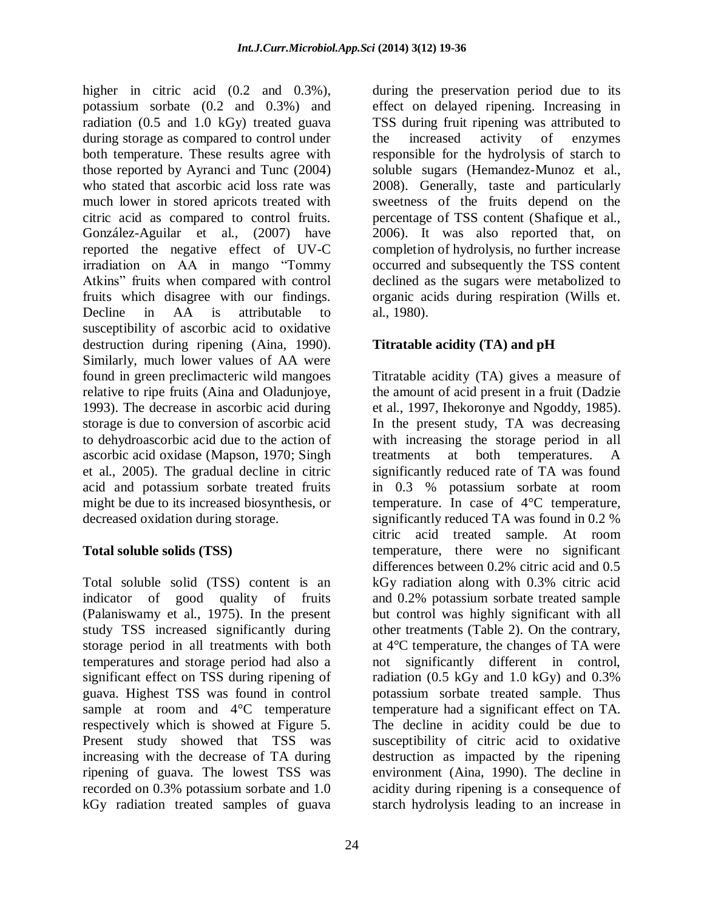higher in citric acid  $(0.2 \text{ and } 0.3\%)$ , potassium sorbate (0.2 and 0.3%) and radiation (0.5 and 1.0 kGy) treated guava during storage as compared to control under both temperature. These results agree with those reported by Ayranci and Tunc (2004) who stated that ascorbic acid loss rate was much lower in stored apricots treated with citric acid as compared to control fruits. González-Aguilar et al., (2007) have reported the negative effect of UV-C irradiation on AA in mango "Tommy Atkins" fruits when compared with control fruits which disagree with our findings. Decline in AA is attributable to susceptibility of ascorbic acid to oxidative destruction during ripening (Aina, 1990). Similarly, much lower values of AA were found in green preclimacteric wild mangoes relative to ripe fruits (Aina and Oladunjoye, 1993). The decrease in ascorbic acid during storage is due to conversion of ascorbic acid to dehydroascorbic acid due to the action of ascorbic acid oxidase (Mapson, 1970; Singh et al., 2005). The gradual decline in citric acid and potassium sorbate treated fruits might be due to its increased biosynthesis, or decreased oxidation during storage.

## **Total soluble solids (TSS)**

Total soluble solid (TSS) content is an indicator of good quality of fruits (Palaniswamy et al., 1975). In the present study TSS increased significantly during storage period in all treatments with both temperatures and storage period had also a significant effect on TSS during ripening of guava. Highest TSS was found in control sample at room and 4°C temperature respectively which is showed at Figure 5. Present study showed that TSS was increasing with the decrease of TA during ripening of guava. The lowest TSS was recorded on 0.3% potassium sorbate and 1.0 kGy radiation treated samples of guava

during the preservation period due to its effect on delayed ripening. Increasing in TSS during fruit ripening was attributed to the increased activity of enzymes responsible for the hydrolysis of starch to soluble sugars (Hemandez-Munoz et al., 2008). Generally, taste and particularly sweetness of the fruits depend on the percentage of TSS content (Shafique et al., 2006). It was also reported that, on completion of hydrolysis, no further increase occurred and subsequently the TSS content declined as the sugars were metabolized to organic acids during respiration (Wills et. al., 1980).

# **Titratable acidity (TA) and pH**

Titratable acidity (TA) gives a measure of the amount of acid present in a fruit (Dadzie et al., 1997, Ihekoronye and Ngoddy, 1985). In the present study, TA was decreasing with increasing the storage period in all treatments at both temperatures. A significantly reduced rate of TA was found in 0.3 % potassium sorbate at room temperature. In case of 4°C temperature, significantly reduced TA was found in 0.2 % citric acid treated sample. At room temperature, there were no significant differences between 0.2% citric acid and 0.5 kGy radiation along with 0.3% citric acid and 0.2% potassium sorbate treated sample but control was highly significant with all other treatments (Table 2). On the contrary, at 4°C temperature, the changes of TA were not significantly different in control, radiation  $(0.5 \text{ kGy}$  and  $1.0 \text{ kGy})$  and  $0.3\%$ potassium sorbate treated sample. Thus temperature had a significant effect on TA. The decline in acidity could be due to susceptibility of citric acid to oxidative destruction as impacted by the ripening environment (Aina, 1990). The decline in acidity during ripening is a consequence of starch hydrolysis leading to an increase in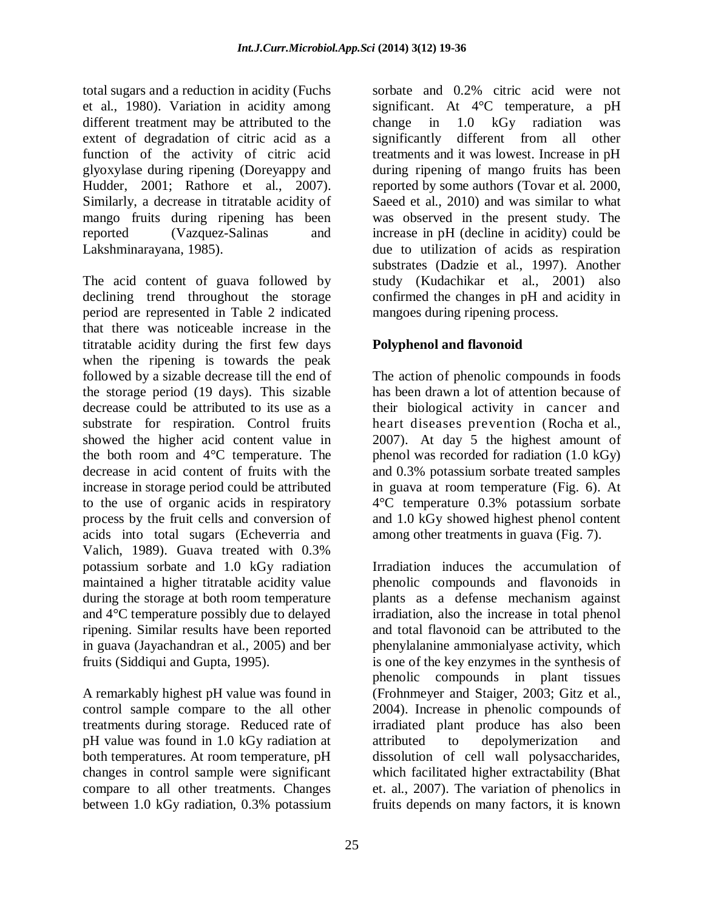total sugars and a reduction in acidity (Fuchs et al., 1980). Variation in acidity among different treatment may be attributed to the extent of degradation of citric acid as a function of the activity of citric acid glyoxylase during ripening (Doreyappy and Hudder, 2001; Rathore et al., 2007). Similarly, a decrease in titratable acidity of mango fruits during ripening has been reported (Vazquez*-*Salinas and Lakshminarayana, 1985).

The acid content of guava followed by declining trend throughout the storage period are represented in Table 2 indicated that there was noticeable increase in the titratable acidity during the first few days when the ripening is towards the peak followed by a sizable decrease till the end of the storage period (19 days). This sizable decrease could be attributed to its use as a substrate for respiration. Control fruits showed the higher acid content value in the both room and 4°C temperature. The decrease in acid content of fruits with the increase in storage period could be attributed to the use of organic acids in respiratory process by the fruit cells and conversion of acids into total sugars (Echeverria and Valich, 1989). Guava treated with 0.3% potassium sorbate and 1.0 kGy radiation maintained a higher titratable acidity value during the storage at both room temperature and 4°C temperature possibly due to delayed ripening. Similar results have been reported in guava (Jayachandran et al., 2005) and ber fruits (Siddiqui and Gupta, 1995).

A remarkably highest pH value was found in control sample compare to the all other treatments during storage. Reduced rate of pH value was found in 1.0 kGy radiation at both temperatures. At room temperature, pH changes in control sample were significant compare to all other treatments. Changes between 1.0 kGy radiation, 0.3% potassium sorbate and 0.2% citric acid were not significant. At 4°C temperature, a pH change in 1.0 kGy radiation was significantly different from all other treatments and it was lowest. Increase in pH during ripening of mango fruits has been reported by some authors (Tovar et al. 2000, [Saeed](http://www.researchgate.net/researcher/50070026_SAEED_AKHTAR/) et al., 2010) and was similar to what was observed in the present study. The increase in pH (decline in acidity) could be due to utilization of acids as respiration substrates (Dadzie et al., 1997). Another study (Kudachikar et al., 2001) also confirmed the changes in pH and acidity in mangoes during ripening process.

# **Polyphenol and flavonoid**

The action of phenolic compounds in foods has been drawn a lot of attention because of their biological activity in cancer and heart diseases prevention [\(Rocha e](http://www.ncbi.nlm.nih.gov/pubmed?term=Rocha%20Ribeiro%20SM%5BAuthor%5D&cauthor=true&cauthor_uid=17243011)t al., 2007). At day 5 the highest amount of phenol was recorded for radiation (1.0 kGy) and 0.3% potassium sorbate treated samples in guava at room temperature (Fig. 6). At 4°C temperature 0.3% potassium sorbate and 1.0 kGy showed highest phenol content among other treatments in guava (Fig. 7).

Irradiation induces the accumulation of phenolic compounds and flavonoids in plants as a defense mechanism against irradiation, also the increase in total phenol and total flavonoid can be attributed to the phenylalanine ammonialyase activity, which is one of the key enzymes in the synthesis of phenolic compounds in plant tissues (Frohnmeyer and Staiger, 2003; Gitz et al., 2004). Increase in phenolic compounds of irradiated plant produce has also been attributed to depolymerization and dissolution of cell wall polysaccharides, which facilitated higher extractability (Bhat et. al., 2007). The variation of phenolics in fruits depends on many factors, it is known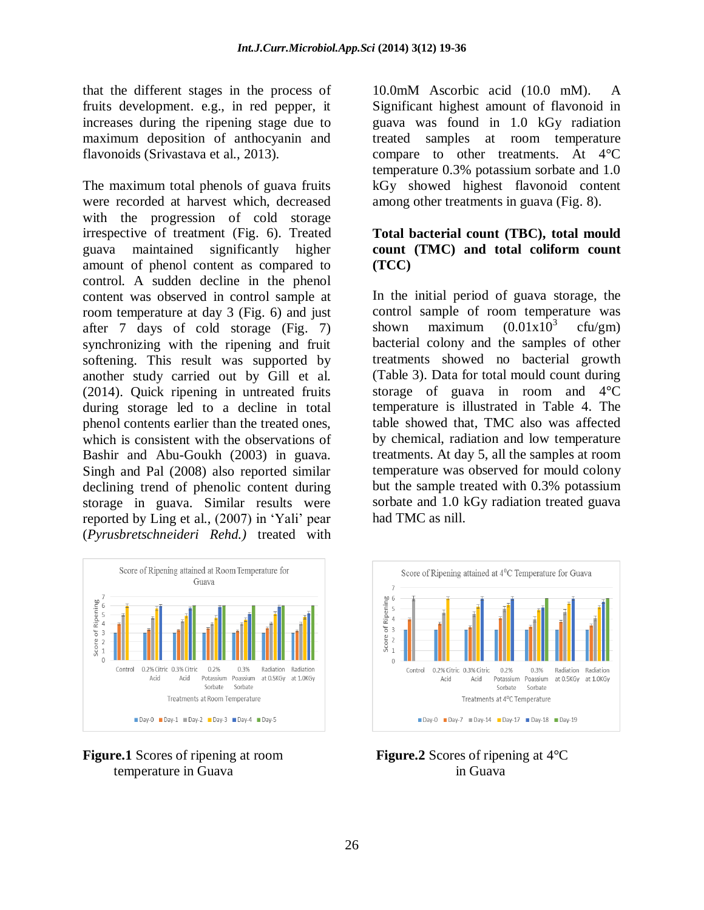that the different stages in the process of fruits development. e.g., in red pepper, it increases during the ripening stage due to maximum deposition of anthocyanin and flavonoids (Srivastava et al., 2013).

The maximum total phenols of guava fruits were recorded at harvest which, decreased with the progression of cold storage irrespective of treatment (Fig. 6). Treated guava maintained significantly higher amount of phenol content as compared to control. A sudden decline in the phenol content was observed in control sample at room temperature at day 3 (Fig. 6) and just after 7 days of cold storage (Fig. 7) synchronizing with the ripening and fruit softening. This result was supported by another study carried out by Gill et al. (2014). Quick ripening in untreated fruits during storage led to a decline in total phenol contents earlier than the treated ones, which is consistent with the observations of Bashir and Abu-Goukh (2003) in guava. Singh and Pal (2008) also reported similar declining trend of phenolic content during storage in guava. Similar results were reported by Ling et al., (2007) in "Yali" pear (*Pyrusbretschneideri Rehd.)* treated with





10.0mM Ascorbic acid (10.0 mM). A Significant highest amount of flavonoid in guava was found in 1.0 kGy radiation treated samples at room temperature compare to other treatments. At 4°C temperature 0.3% potassium sorbate and 1.0 kGy showed highest flavonoid content among other treatments in guava (Fig. 8).

#### **Total bacterial count (TBC), total mould count (TMC) and total coliform count (TCC)**

In the initial period of guava storage, the control sample of room temperature was shown maximum  $(0.01x10^3)$ cfu/gm) bacterial colony and the samples of other treatments showed no bacterial growth (Table 3). Data for total mould count during storage of guava in room and 4°C temperature is illustrated in Table 4. The table showed that, TMC also was affected by chemical, radiation and low temperature treatments. At day 5, all the samples at room temperature was observed for mould colony but the sample treated with 0.3% potassium sorbate and 1.0 kGy radiation treated guava had TMC as nill.

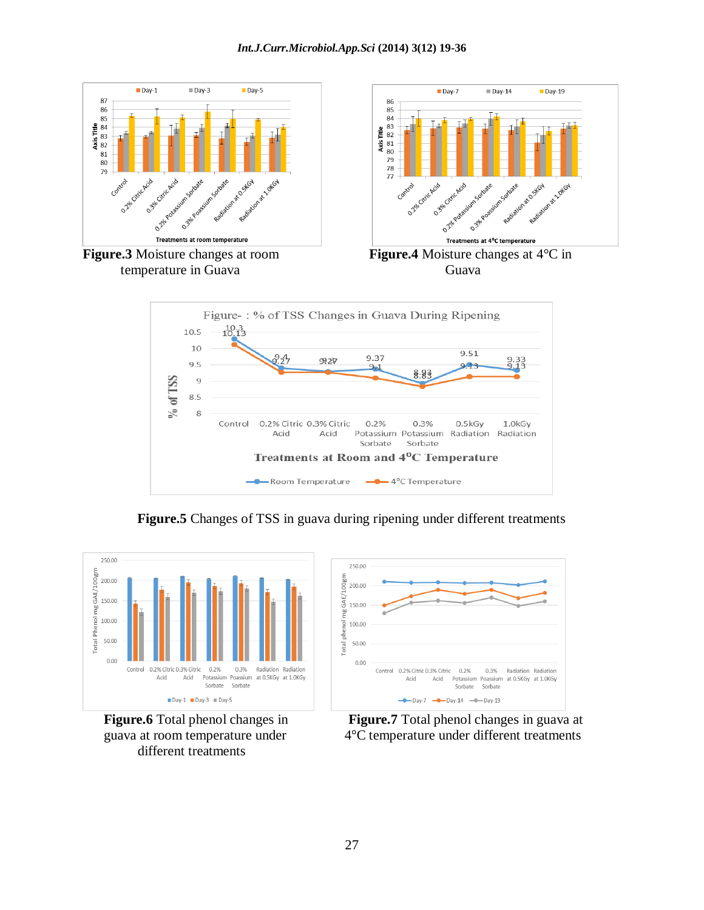



temperature in Guava Guava





**Figure.5** Changes of TSS in guava during ripening under different treatments



different treatments



**Figure.6** Total phenol changes in **Figure.7** Total phenol changes in guava at guava at room temperature under 4°C temperature under different treatments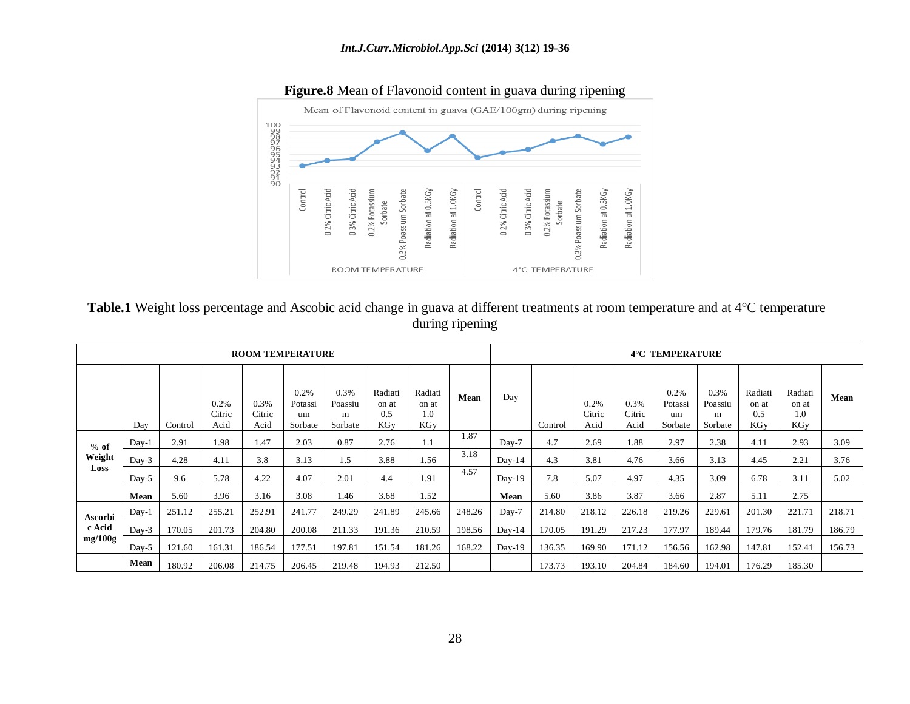

**Table.1** Weight loss percentage and Ascobic acid change in guava at different treatments at room temperature and at 4°C temperature during ripening

|                   |         |         |                        | <b>ROOM TEMPERATURE</b> |                                  |                                 |                                       |                                |        | 4°C TEMPERATURE |         |                        |                        |                                  |                                 |                                |                                |        |
|-------------------|---------|---------|------------------------|-------------------------|----------------------------------|---------------------------------|---------------------------------------|--------------------------------|--------|-----------------|---------|------------------------|------------------------|----------------------------------|---------------------------------|--------------------------------|--------------------------------|--------|
|                   | Dav     | Control | 0.2%<br>Citric<br>Acid | 0.3%<br>Citric<br>Acid  | 0.2%<br>Potassi<br>um<br>Sorbate | 0.3%<br>Poassiu<br>m<br>Sorbate | Radiati<br>on at<br>0.5<br><b>KGv</b> | Radiati<br>on at<br>1.0<br>KGy | Mean   | Day             | Control | 0.2%<br>Citric<br>Acid | 0.3%<br>Citric<br>Acid | 0.2%<br>Potassi<br>um<br>Sorbate | 0.3%<br>Poassiu<br>m<br>Sorbate | Radiati<br>on at<br>0.5<br>KGy | Radiati<br>on at<br>1.0<br>KGy | Mean   |
| $%$ of<br>Weight  | $Dav-1$ | 2.91    | 1.98                   | 1.47                    | 2.03                             | 0.87                            | 2.76                                  | 1.1                            | 1.87   | Day-7           | 4.7     | 2.69                   | 1.88                   | 2.97                             | 2.38                            | 4.11                           | 2.93                           | 3.09   |
|                   | $Day-3$ | 4.28    | 4.11                   | 3.8                     | 3.13                             | 1.5                             | 3.88                                  | 1.56                           | 3.18   | $Day-14$        | 4.3     | 3.81                   | 4.76                   | 3.66                             | 3.13                            | 4.45                           | 2.21                           | 3.76   |
| Loss              | $Day-5$ | 9.6     | 5.78                   | 4.22                    | 4.07                             | 2.01                            | 4.4                                   | 1.91                           | 4.57   | $Day-19$        | 7.8     | 5.07                   | 4.97                   | 4.35                             | 3.09                            | 6.78                           | 3.11                           | 5.02   |
|                   | Mean    | 5.60    | 3.96                   | 3.16                    | 3.08                             | 1.46                            | 3.68                                  | 1.52                           |        | Mean            | 5.60    | 3.86                   | 3.87                   | 3.66                             | 2.87                            | 5.11                           | 2.75                           |        |
| <b>Ascorbi</b>    | $Day-1$ | 251.12  | 255.21                 | 252.91                  | 241.77                           | 249.29                          | 241.89                                | 245.66                         | 248.26 | Day-7           | 214.80  | 218.12                 | 226.18                 | 219.26                           | 229.61                          | 201.30                         | 221.71                         | 218.71 |
| c Acid<br>mg/100g | $Day-3$ | 170.05  | 201.73                 | 204.80                  | 200.08                           | 211.33                          | 191.36                                | 210.59                         | 198.56 | $Day-14$        | 170.05  | 191.29                 | 217.23                 | 177.97                           | 189.44                          | 179.76                         | 181.79                         | 186.79 |
|                   | $Dav-5$ | 121.60  | 161.31                 | 186.54                  | 177.51                           | 197.81                          | 151.54                                | 181.26                         | 168.22 | $Day-19$        | 136.35  | 169.90                 | 171.12                 | 156.56                           | 162.98                          | 147.81                         | 152.41                         | 156.73 |
|                   | Mean    | 180.92  | 206.08                 | 214.75                  | 206.45                           | 219.48                          | 194.93                                | 212.50                         |        |                 | 173.73  | 193.10                 | 204.84                 | 184.60                           | 194.01                          | 176.29                         | 185.30                         |        |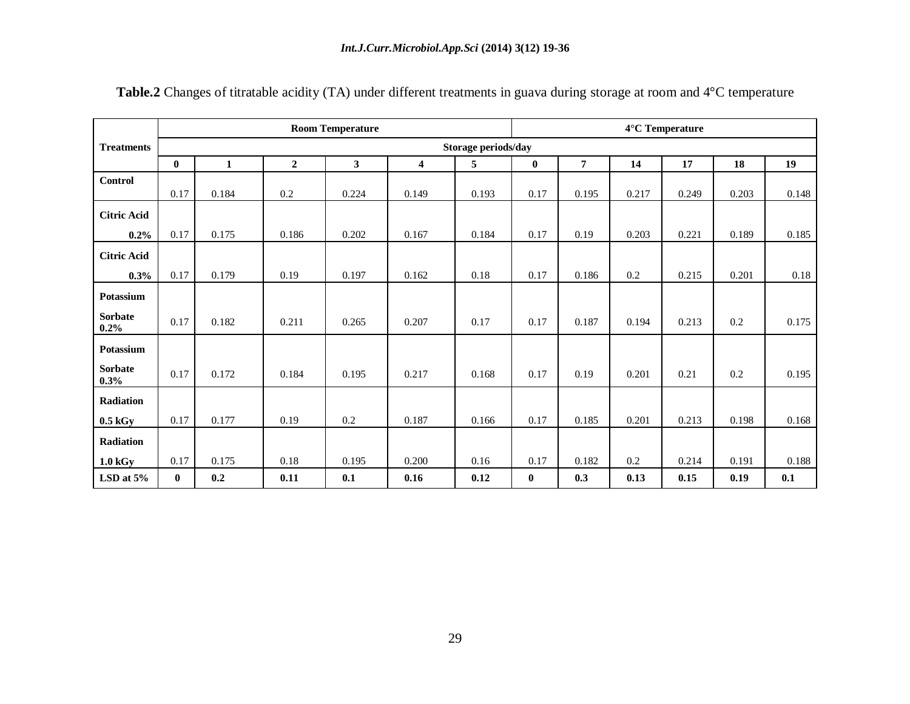|                           |          |                     |                | <b>Room Temperature</b> |                | 4°C Temperature |          |                |         |       |       |       |  |  |  |  |
|---------------------------|----------|---------------------|----------------|-------------------------|----------------|-----------------|----------|----------------|---------|-------|-------|-------|--|--|--|--|
| <b>Treatments</b>         |          | Storage periods/day |                |                         |                |                 |          |                |         |       |       |       |  |  |  |  |
|                           | $\bf{0}$ | $\mathbf{1}$        | $\overline{2}$ | 3                       | $\overline{4}$ | 5               | $\bf{0}$ | $\overline{7}$ | 14      | 17    | 18    | 19    |  |  |  |  |
| <b>Control</b>            |          |                     |                |                         |                |                 |          |                |         |       |       |       |  |  |  |  |
|                           | 0.17     | 0.184               | 0.2            | 0.224                   | 0.149          | 0.193           | 0.17     | 0.195          | 0.217   | 0.249 | 0.203 | 0.148 |  |  |  |  |
| <b>Citric Acid</b>        |          |                     |                |                         |                |                 |          |                |         |       |       |       |  |  |  |  |
| 0.2%                      | 0.17     | 0.175               | 0.186          | 0.202                   | 0.167          | 0.184           | 0.17     | 0.19           | 0.203   | 0.221 | 0.189 | 0.185 |  |  |  |  |
| <b>Citric Acid</b>        |          |                     |                |                         |                |                 |          |                |         |       |       |       |  |  |  |  |
| 0.3%                      | 0.17     | 0.179               | 0.19           | 0.197                   | 0.162          | 0.18            | 0.17     | 0.186          | $0.2\,$ | 0.215 | 0.201 | 0.18  |  |  |  |  |
| <b>Potassium</b>          |          |                     |                |                         |                |                 |          |                |         |       |       |       |  |  |  |  |
| <b>Sorbate</b><br>$0.2\%$ | 0.17     | 0.182               | 0.211          | 0.265                   | 0.207          | 0.17            | 0.17     | 0.187          | 0.194   | 0.213 | 0.2   | 0.175 |  |  |  |  |
| Potassium                 |          |                     |                |                         |                |                 |          |                |         |       |       |       |  |  |  |  |
| <b>Sorbate</b><br>0.3%    | 0.17     | 0.172               | 0.184          | 0.195                   | 0.217          | 0.168           | 0.17     | 0.19           | 0.201   | 0.21  | 0.2   | 0.195 |  |  |  |  |
| Radiation                 |          |                     |                |                         |                |                 |          |                |         |       |       |       |  |  |  |  |
| $0.5$ kGy                 | 0.17     | 0.177               | 0.19           | 0.2                     | 0.187          | 0.166           | 0.17     | 0.185          | 0.201   | 0.213 | 0.198 | 0.168 |  |  |  |  |
| Radiation                 |          |                     |                |                         |                |                 |          |                |         |       |       |       |  |  |  |  |
| $1.0\ \mathrm{kGy}$       | 0.17     | 0.175               | 0.18           | 0.195                   | 0.200          | 0.16            | 0.17     | 0.182          | 0.2     | 0.214 | 0.191 | 0.188 |  |  |  |  |
| LSD at $5\%$              | $\bf{0}$ | 0.2                 | 0.11           | 0.1                     | 0.16           | 0.12            | $\bf{0}$ | 0.3            | 0.13    | 0.15  | 0.19  | 0.1   |  |  |  |  |

**Table.2** Changes of titratable acidity (TA) under different treatments in guava during storage at room and 4°C temperature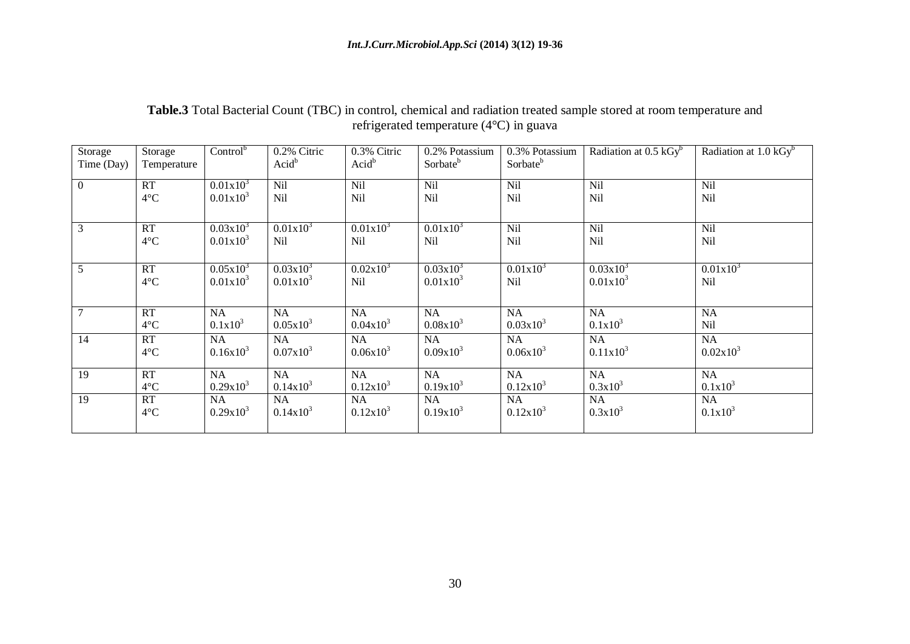| <b>Table.3</b> Total Bacterial Count (TBC) in control, chemical and radiation treated sample stored at room temperature and |
|-----------------------------------------------------------------------------------------------------------------------------|
| refrigerated temperature $(4^{\circ}C)$ in guava                                                                            |

| Storage<br>Time (Day) | Storage<br>Temperature | $Control^b$   | $0.2\%$ Citric<br>$Acid^b$ | 0.3% Citric<br>$Acid^b$ | 0.2% Potassium<br>Sorbate <sup>b</sup> | 0.3% Potassium<br>Sorbate <sup>b</sup> | Radiation at $0.5 \text{ kGy}^b$ | Radiation at $1.0 \text{ kGy}^b$ |
|-----------------------|------------------------|---------------|----------------------------|-------------------------|----------------------------------------|----------------------------------------|----------------------------------|----------------------------------|
|                       |                        |               |                            |                         |                                        |                                        |                                  |                                  |
| $\mathbf{0}$          | RT                     | $0.01x10^3$   | Nil                        | Nil                     | Nil                                    | Nil                                    | Nil                              | Nil                              |
|                       | $4^{\circ}C$           | $0.01x10^3$   | Nil                        | Nil                     | Nil                                    | Nil                                    | Nil                              | Nil                              |
|                       |                        |               |                            |                         |                                        |                                        |                                  |                                  |
| 3                     | RT                     | $0.03x10^{3}$ | $0.01x10^3$                | $0.01x10^3$             | $0.01x10^{3}$                          | Nil                                    | Nil                              | Nil                              |
|                       | $4^{\circ}C$           | $0.01x10^3$   | Nil                        | Nil                     | Nil                                    | Nil                                    | Nil                              | Nil                              |
|                       |                        |               |                            |                         |                                        |                                        |                                  |                                  |
| 5                     | RT                     | $0.05x10^{3}$ | $0.03x10^{3}$              | $0.02x10^3$             | $0.03x10^{3}$                          | $0.01x10^{3}$                          | $0.03x10^{3}$                    | $0.01x10^{3}$                    |
|                       | $4^{\circ}C$           | $0.01x10^3$   | $0.01x10^{3}$              | Nil                     | $0.01x10^{3}$                          | Nil                                    | $0.01x10^{3}$                    | Nil                              |
|                       |                        |               |                            |                         |                                        |                                        |                                  |                                  |
| $\overline{7}$        | RT                     | NA            | NA                         | NA                      | <b>NA</b>                              | NA                                     | NA                               | NA                               |
|                       | $4^{\circ}C$           | $0.1x10^3$    | $0.05x10^{3}$              | $0.04x10^3$             | $0.08x10^3$                            | $0.03x10^3$                            | $0.1x10^3$                       | Nil                              |
| 14                    | RT                     | <b>NA</b>     | NA                         | <b>NA</b>               | NA                                     | <b>NA</b>                              | NA                               | NA                               |
|                       | $4^{\circ}C$           | $0.16x10^{3}$ | $0.07x10^3$                | $0.06x10^{3}$           | $0.09x10^{3}$                          | $0.06x10^{3}$                          | $0.11x10^3$                      | $0.02x10^3$                      |
|                       |                        |               |                            |                         |                                        |                                        |                                  |                                  |
| 19                    | <b>RT</b>              | <b>NA</b>     | NA                         | NA                      | NA                                     | <b>NA</b>                              | <b>NA</b>                        | NA                               |
|                       | $4^{\circ}C$           | $0.29x10^3$   | $0.14x10^3$                | $0.12x10^3$             | $0.19x10^{3}$                          | $0.12x10^3$                            | $0.3x10^3$                       | $0.1x10^3$                       |
| $\overline{19}$       | RT                     | NA            | NA                         | NA                      | NA                                     | NA                                     | NA                               | NA                               |
|                       | $4^{\circ}C$           | $0.29x10^3$   | $0.14x10^3$                | $0.12x10^3$             | $0.19x10^{3}$                          | $0.12x10^3$                            | $0.3x10^3$                       | $0.1x10^3$                       |
|                       |                        |               |                            |                         |                                        |                                        |                                  |                                  |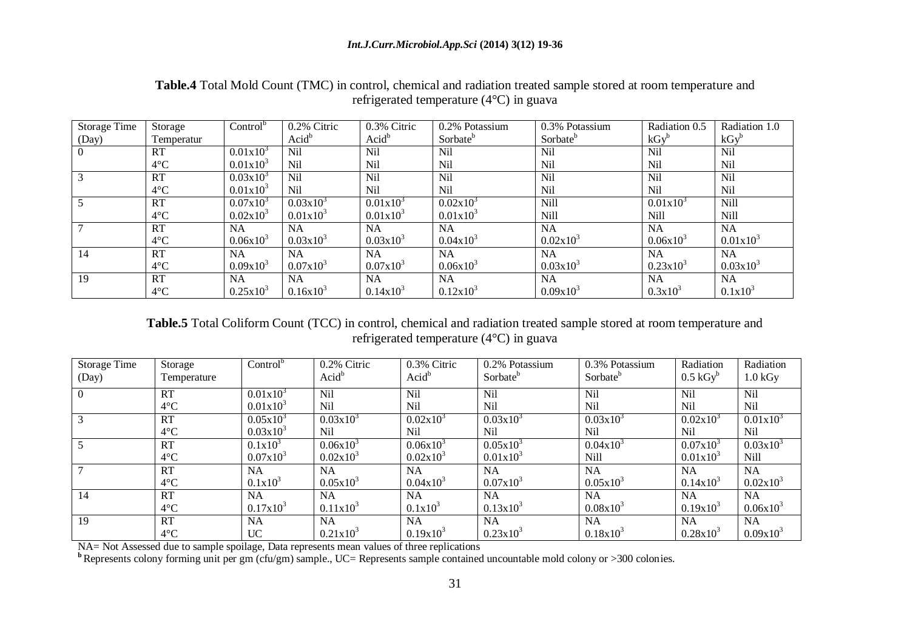| <b>Storage Time</b> | Storage      | Control <sup>b</sup> | 0.2% Citric   | 0.3% Citric   | 0.2% Potassium       | 0.3% Potassium       | Radiation 0.5        | Radiation 1.0 |
|---------------------|--------------|----------------------|---------------|---------------|----------------------|----------------------|----------------------|---------------|
| (Day)               | Temperatur   |                      | $Acid^b$      | $Acid^b$      | Sorbate <sup>b</sup> | Sorbate <sup>b</sup> | $kGv^b$              | $kGy^b$       |
| $\theta$            | RT           | $0.01x10^{3}$        | Nil           | Nil           | Nil                  | <b>Nil</b>           | Nil                  | Nil           |
|                     | $4^{\circ}C$ | $0.01x10^{3}$        | Nil           | Nil           | <b>Nil</b>           | Nil                  | <b>Nil</b>           | <b>Nil</b>    |
| 3                   | <b>RT</b>    | $0.03x10^{3}$        | Nil           | Nil           | <b>Nil</b>           | Nil                  | Nil                  | Nil           |
|                     | $4^{\circ}C$ | $0.01x10^{3}$        | Nil           | Nil           | Nil                  | Nil                  | <b>Nil</b>           | Nil           |
|                     | <b>RT</b>    | $0.07x10^{3}$        | $0.03x10^{3}$ | $0.01x10^{3}$ | $0.02x10^3$          | Nill                 | $0.01x10^3$          | Nill          |
|                     | $4^{\circ}C$ | $0.02x10^{3}$        | $0.01x10^{3}$ | $0.01x10^{3}$ | $0.01x10^{3}$        | Nill                 | Nill                 | Nill          |
| $\overline{7}$      | RT           | NA.                  | <b>NA</b>     | NA            | <b>NA</b>            | <b>NA</b>            | <b>NA</b>            | <b>NA</b>     |
|                     | $4^{\circ}C$ | $0.06x10^{3}$        | $0.03x10^{3}$ | $0.03x10^3$   | $0.04x10^{3}$        | $0.02x10^{3}$        | $0.06x10^{3}$        | $0.01x10^3$   |
| 14                  | <b>RT</b>    | NA.                  | <b>NA</b>     | NA.           | <b>NA</b>            | NA.                  | <b>NA</b>            | <b>NA</b>     |
|                     | $4^{\circ}C$ | $0.09x10^{3}$        | $0.07x10^{3}$ | $0.07x10^{3}$ | $0.06x10^{3}$        | $0.03x10^{3}$        | $0.23 \times 10^{3}$ | $0.03x10^{3}$ |
| 19                  | <b>RT</b>    | NA.                  | <b>NA</b>     | NA.           | <b>NA</b>            | NA.                  | <b>NA</b>            | <b>NA</b>     |
|                     | $4^{\circ}C$ | $0.25x10^3$          | $0.16x10^{3}$ | $0.14x10^{3}$ | $0.12x10^3$          | $0.09x10^{3}$        | $0.3x10^3$           | $0.1x10^3$    |

### **Table.4** Total Mold Count (TMC) in control, chemical and radiation treated sample stored at room temperature and refrigerated temperature (4°C) in guava

**Table.5** Total Coliform Count (TCC) in control, chemical and radiation treated sample stored at room temperature and refrigerated temperature (4°C) in guava

| <b>Storage Time</b> | Storage      | $Control^b$   | 0.2% Citric   | 0.3% Citric   | 0.2% Potassium       | 0.3% Potassium       | Radiation           | Radiation           |
|---------------------|--------------|---------------|---------------|---------------|----------------------|----------------------|---------------------|---------------------|
| (Day)               | Temperature  |               | $Acid^b$      | $Acid^b$      | Sorbate <sup>b</sup> | Sorbate <sup>b</sup> | $0.5 \text{ kGy}^b$ | $1.0\ \mathrm{kGy}$ |
| $\Omega$            | <b>RT</b>    | $0.01x10^{3}$ | Nil           | <b>Nil</b>    | <b>Nil</b>           | <b>Nil</b>           | Nil                 | <b>Nil</b>          |
|                     | $4^{\circ}C$ | $0.01x10^3$   | Nil           | Nil           | N <sub>il</sub>      | <b>Nil</b>           | Nil                 | <b>Nil</b>          |
|                     | <b>RT</b>    | $0.05x10^{3}$ | $0.03x10^{3}$ | $0.02x10^3$   | $0.03x10^{3}$        | $0.03x10^{3}$        | $0.02x10^{3}$       | $0.01x10^3$         |
|                     | $4^{\circ}C$ | $0.03x10^{3}$ | Nil           | Nil           | Nil                  | Nil.                 | Nil                 | Nil                 |
|                     | <b>RT</b>    | $0.1x10^3$    | $0.06x10^{3}$ | $0.06x10^{3}$ | $0.05x10^{3}$        | $0.04x10^{3}$        | $0.07x10^{3}$       | $0.03x10^{3}$       |
|                     | $4^{\circ}C$ | $0.07x10^{3}$ | $0.02x10^{3}$ | $0.02x10^{3}$ | $0.01x10^{3}$        | Nill                 | $0.01x10^{3}$       | Nill                |
|                     | <b>RT</b>    | <b>NA</b>     | NA.           | <b>NA</b>     | <b>NA</b>            | <b>NA</b>            | <b>NA</b>           | <b>NA</b>           |
|                     | $4^{\circ}C$ | $0.1x10^3$    | $0.05x10^{3}$ | $0.04x10^{3}$ | $0.07x10^{3}$        | $0.05x10^{3}$        | $0.14x10^3$         | $0.02x10^3$         |
| 14                  | <b>RT</b>    | <b>NA</b>     | NA.           | <b>NA</b>     | NA.                  | <b>NA</b>            | <b>NA</b>           | <b>NA</b>           |
|                     | $4^{\circ}C$ | $0.17x10^{3}$ | $0.11x10^{3}$ | $0.1x10^3$    | $0.13x10^{3}$        | $0.08x10^3$          | $0.19x10^{3}$       | $0.06x10^{3}$       |
| 19                  | <b>RT</b>    | <b>NA</b>     | <b>NA</b>     | <b>NA</b>     | <b>NA</b>            | <b>NA</b>            | <b>NA</b>           | <b>NA</b>           |
|                     | $4^{\circ}C$ | <b>UC</b>     | $0.21x10^{3}$ | $0.19x10^{3}$ | $0.23 \times 10^3$   | $0.18x10^{3}$        | $0.28x10^{3}$       | $0.09x10^{3}$       |

NA= Not Assessed due to sample spoilage, Data represents mean values of three replications

**b** Represents colony forming unit per gm (cfu/gm) sample., UC= Represents sample contained uncountable mold colony or >300 colonies.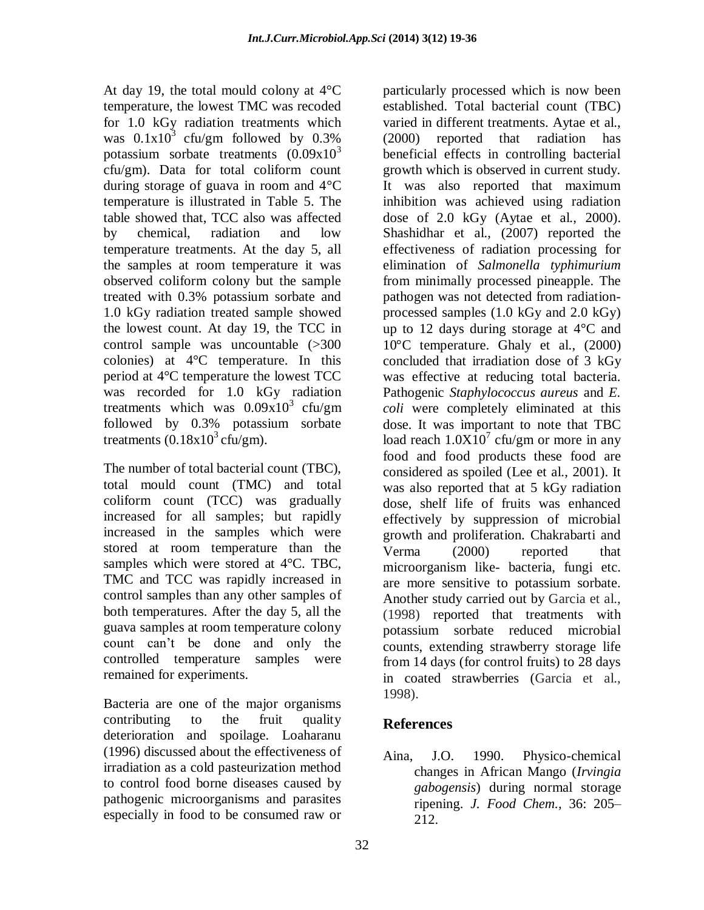At day 19, the total mould colony at  $4^{\circ}C$ temperature, the lowest TMC was recoded for 1.0 kGy radiation treatments which was  $0.1x10^3$  cfu/gm followed by 0.3% potassium sorbate treatments  $(0.09x10^3)$ cfu/gm). Data for total coliform count during storage of guava in room and 4°C temperature is illustrated in Table 5. The table showed that, TCC also was affected by chemical, radiation and low temperature treatments. At the day 5, all the samples at room temperature it was observed coliform colony but the sample treated with 0.3% potassium sorbate and 1.0 kGy radiation treated sample showed the lowest count. At day 19, the TCC in control sample was uncountable (>300 colonies) at 4°C temperature. In this period at 4°C temperature the lowest TCC was recorded for 1.0 kGy radiation treatments which was  $0.09x10^3$  cfu/gm followed by 0.3% potassium sorbate treatments  $(0.18x10^3$  cfu/gm).

The number of total bacterial count (TBC), total mould count (TMC) and total coliform count (TCC) was gradually increased for all samples; but rapidly increased in the samples which were stored at room temperature than the samples which were stored at 4°C. TBC, TMC and TCC was rapidly increased in control samples than any other samples of both temperatures. After the day 5, all the guava samples at room temperature colony count can"t be done and only the controlled temperature samples were remained for experiments.

Bacteria are one of the major organisms contributing to the fruit quality deterioration and spoilage. Loaharanu (1996) discussed about the effectiveness of irradiation as a cold pasteurization method to control food borne diseases caused by pathogenic microorganisms and parasites especially in food to be consumed raw or

particularly processed which is now been established. Total bacterial count (TBC) varied in different treatments. Aytae et al., (2000) reported that radiation has beneficial effects in controlling bacterial growth which is observed in current study. It was also reported that maximum inhibition was achieved using radiation dose of 2.0 kGy (Aytae et al., 2000). Shashidhar et al., (2007) reported the effectiveness of radiation processing for elimination of *Salmonella typhimurium* from minimally processed pineapple. The pathogen was not detected from radiationprocessed samples (1.0 kGy and 2.0 kGy) up to 12 days during storage at 4°C and 10°C temperature. Ghaly et al., (2000) concluded that irradiation dose of 3 kGy was effective at reducing total bacteria. Pathogenic *Staphylococcus aureus* and *E. coli* were completely eliminated at this dose. It was important to note that TBC load reach  $1.0X10^7$  cfu/gm or more in any food and food products these food are considered as spoiled (Lee et al., 2001). It was also reported that at 5 kGy radiation dose, shelf life of fruits was enhanced effectively by suppression of microbial growth and proliferation. Chakrabarti and Verma (2000) reported that microorganism like- bacteria, fungi etc. are more sensitive to potassium sorbate. Another study carried out by Garcia et al., (1998) reported that treatments with potassium sorbate reduced microbial counts, extending strawberry storage life from 14 days (for control fruits) to 28 days in coated strawberries (Garcia et al., 1998).

## **References**

Aina, J.O. 1990. Physico-chemical changes in African Mango (*Irvingia gabogensis*) during normal storage ripening. *J. Food Chem.,* 36: 205– 212.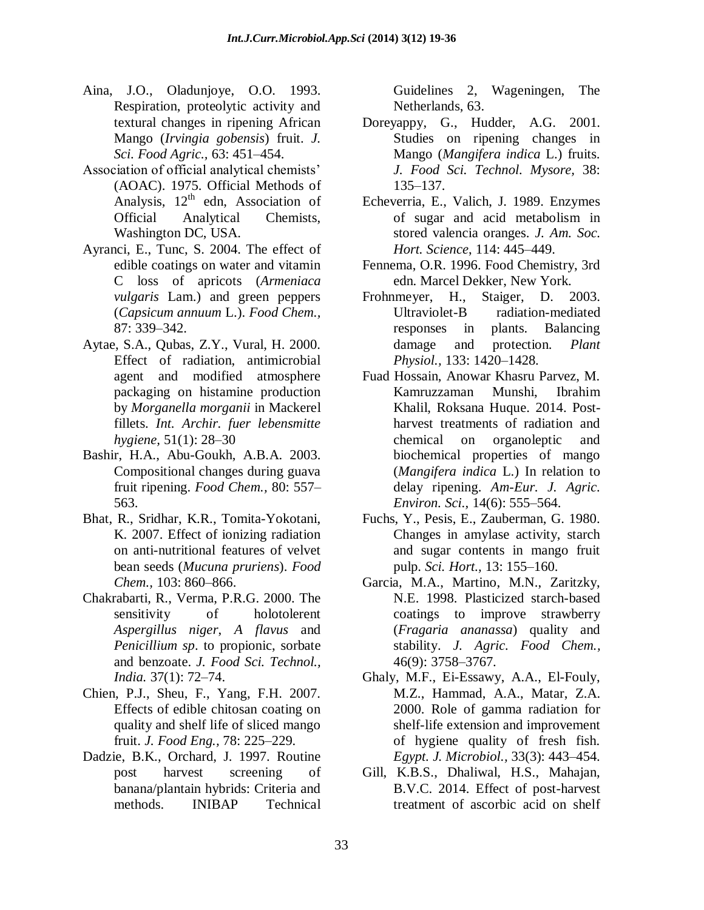- Aina, J.O., Oladunjoye, O.O. 1993. Respiration, proteolytic activity and textural changes in ripening African Mango (*Irvingia gobensis*) fruit. *J. Sci. Food Agric.,* 63: 451–454.
- Association of official analytical chemists' (AOAC). 1975. Official Methods of Analysis,  $12<sup>th</sup>$  edn, Association of Official Analytical Chemists, Washington DC, USA.
- Ayranci, E., Tunc, S. 2004. The effect of edible coatings on water and vitamin C loss of apricots (*Armeniaca vulgaris* Lam.) and green peppers (*Capsicum annuum* L.). *Food Chem.,* 87: 339–342.
- Aytae, S.A., Qubas, Z.Y., Vural, H. 2000. Effect of radiation, antimicrobial agent and modified atmosphere packaging on histamine production by *Morganella morganii* in Mackerel fillets. *Int. Archir. fuer lebensmitte hygiene,* 51(1): 28–30
- Bashir, H.A., Abu-Goukh, A.B.A. 2003. Compositional changes during guava fruit ripening. *Food Chem.,* 80: 557– 563.
- Bhat, R., Sridhar, K.R., Tomita-Yokotani, K. 2007. Effect of ionizing radiation on anti-nutritional features of velvet bean seeds (*Mucuna pruriens*). *Food Chem.,* 103: 860–866.
- Chakrabarti, R., Verma, P.R.G. 2000. The sensitivity of holotolerent *Aspergillus niger*, *A flavus* and *Penicillium sp*. to propionic, sorbate and benzoate. *J. Food Sci. Technol., India.* 37(1): 72–74.
- Chien, P.J., Sheu, F., Yang, F.H. 2007. Effects of edible chitosan coating on quality and shelf life of sliced mango fruit. *J. Food Eng.,* 78: 225–229.
- Dadzie, B.K., Orchard, J. 1997. Routine post harvest screening of banana/plantain hybrids: Criteria and methods. INIBAP Technical

Guidelines 2, Wageningen, The Netherlands, 63.

- Doreyappy, G., Hudder, A.G. 2001. Studies on ripening changes in Mango (*Mangifera indica* L.) fruits. *J. Food Sci. Technol. Mysore,* 38: 135–137.
- Echeverria, E., Valich, J. 1989. Enzymes of sugar and acid metabolism in stored valencia oranges. *J. Am. Soc. Hort. Science*, 114: 445–449.
- Fennema, O.R. 1996. Food Chemistry, 3rd edn. Marcel Dekker, New York.
- Frohnmeyer, H., Staiger, D. 2003. Ultraviolet-B radiation-mediated responses in plants. Balancing damage and protection. *Plant Physiol.,* 133: 1420–1428.
- Fuad Hossain, Anowar Khasru Parvez, M. Kamruzzaman Munshi, Ibrahim Khalil, Roksana Huque. 2014. Postharvest treatments of radiation and chemical on organoleptic and biochemical properties of mango (*Mangifera indica* L.) In relation to delay ripening. *Am-Eur. J. Agric. Environ. Sci.,* 14(6): 555–564.
- Fuchs, Y., Pesis, E., Zauberman, G. 1980. Changes in amylase activity, starch and sugar contents in mango fruit pulp. *Sci. Hort.,* 13: 155–160.
- Garcia, M.A., Martino, M.N., Zaritzky, N.E. 1998. Plasticized starch-based coatings to improve strawberry (*Fragaria ananassa*) quality and stability. *J. Agric. Food Chem.,* 46(9): 3758–3767.
- Ghaly, M.F., Ei-Essawy, A.A., El-Fouly, M.Z., Hammad, A.A., Matar, Z.A. 2000. Role of gamma radiation for shelf-life extension and improvement of hygiene quality of fresh fish. *Egypt. J. Microbiol.,* 33(3): 443–454.
- Gill, K.B.S., Dhaliwal, H.S., Mahajan, B.V.C. 2014. Effect of post-harvest treatment of ascorbic acid on shelf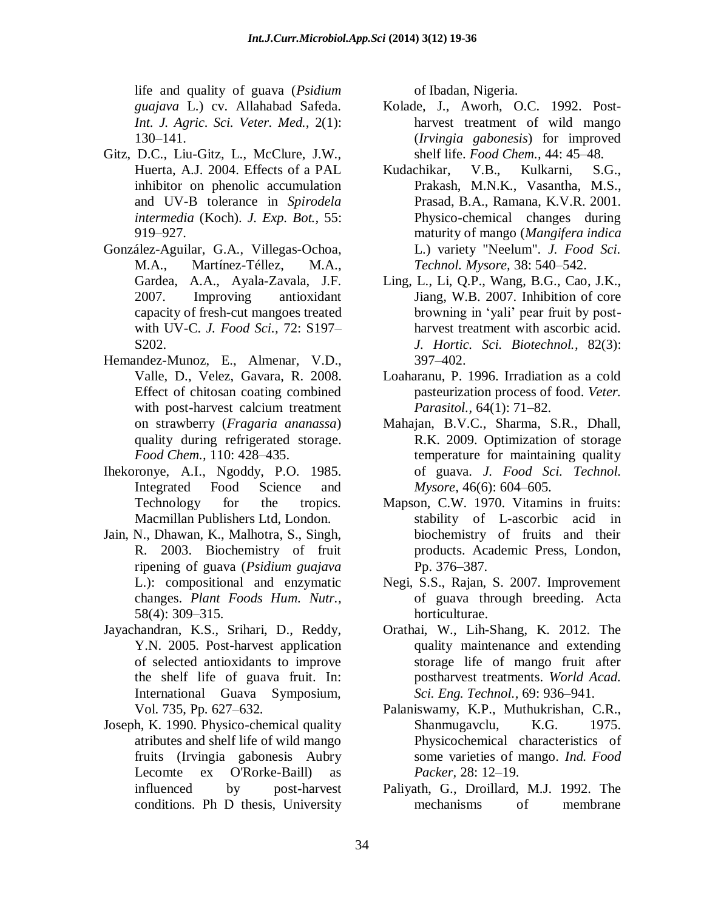life and quality of guava (*Psidium guajava* L.) cv. Allahabad Safeda. *Int. J. Agric. Sci. Veter. Med.,* 2(1): 130–141.

- Gitz, D.C., Liu-Gitz, L., McClure, J.W., Huerta, A.J. 2004. Effects of a PAL inhibitor on phenolic accumulation and UV-B tolerance in *Spirodela intermedia* (Koch). *J. Exp. Bot.,* 55: 919–927.
- González-Aguilar, G.A., Villegas-Ochoa, M.A., Martínez-Téllez, M.A., Gardea, A.A., Ayala-Zavala, J.F. 2007. Improving antioxidant capacity of fresh-cut mangoes treated with UV-C. *J. Food Sci.,* 72: S197– S202.
- Hemandez-Munoz, E., Almenar, V.D., Valle, D., Velez, Gavara, R. 2008. Effect of chitosan coating combined with post-harvest calcium treatment on strawberry (*Fragaria ananassa*) quality during refrigerated storage. *Food Chem.,* 110: 428–435.
- Ihekoronye, A.I., Ngoddy, P.O. 1985. Integrated Food Science and Technology for the tropics. Macmillan Publishers Ltd, London.
- Jain, N., Dhawan, K., Malhotra, S., Singh, R. 2003. Biochemistry of fruit ripening of guava (*Psidium guajava* L.): compositional and enzymatic changes. *Plant Foods Hum. Nutr.,* 58(4): 309–315.
- Jayachandran, K.S., Srihari, D., Reddy, Y.N. 2005. Post-harvest application of selected antioxidants to improve the shelf life of guava fruit. In: International Guava Symposium, Vol. 735, Pp. 627–632.
- Joseph, K. 1990. Physico-chemical quality atributes and shelf life of wild mango fruits (Irvingia gabonesis Aubry Lecomte ex O'Rorke-Baill) as influenced by post-harvest conditions. Ph D thesis, University

of Ibadan, Nigeria.

- Kolade, J., Aworh, O.C. 1992. Postharvest treatment of wild mango (*Irvingia gabonesis*) for improved shelf life. *Food Chem.,* 44: 45–48.
- Kudachikar, V.B., Kulkarni, S.G., Prakash, M.N.K., Vasantha, M.S., Prasad, B.A., Ramana, K.V.R. 2001. Physico-chemical changes during maturity of mango (*Mangifera indica* L.) variety "Neelum". *J. Food Sci. Technol. Mysore,* 38: 540–542.
- Ling, L., Li, Q.P., Wang, B.G., Cao, J.K., Jiang, W.B. 2007. Inhibition of core browning in "yali" pear fruit by postharvest treatment with ascorbic acid. *J. Hortic. Sci. Biotechnol.,* 82(3): 397–402.
- Loaharanu, P. 1996. Irradiation as a cold pasteurization process of food. *Veter. Parasitol.,* 64(1): 71–82.
- Mahajan, B.V.C., Sharma, S.R., Dhall, R.K. 2009. Optimization of storage temperature for maintaining quality of guava. *J. Food Sci. Technol. Mysore,* 46(6): 604–605.
- Mapson, C.W. 1970. Vitamins in fruits: stability of L-ascorbic acid in biochemistry of fruits and their products. Academic Press, London, Pp. 376–387.
- Negi, S.S., Rajan, S. 2007. Improvement of guava through breeding. Acta horticulturae.
- Orathai, W., Lih-Shang, K. 2012. The quality maintenance and extending storage life of mango fruit after postharvest treatments. *World Acad. Sci. Eng. Technol.,* 69: 936–941.
- Palaniswamy, K.P., Muthukrishan, C.R., Shanmugavclu, K.G. 1975. Physicochemical characteristics of some varieties of mango. *Ind. Food Packer,* 28: 12–19.
- Paliyath, G., Droillard, M.J. 1992. The mechanisms of membrane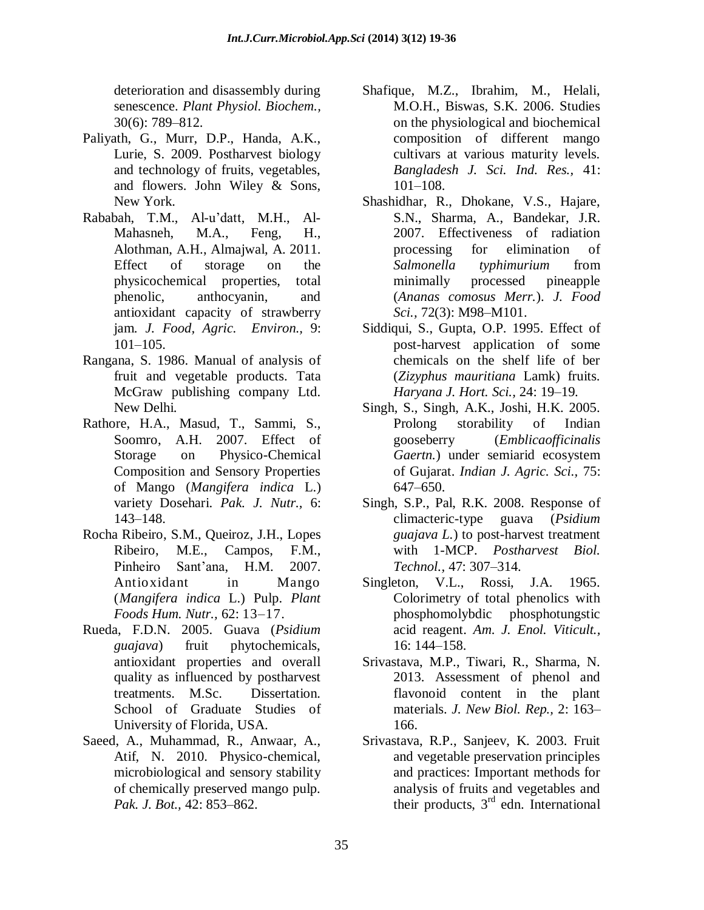deterioration and disassembly during senescence. *Plant Physiol. Biochem.,* 30(6): 789–812.

- Paliyath, G., Murr, D.P., Handa, A.K., Lurie, S. 2009. Postharvest biology and technology of fruits, vegetables, and flowers. John Wiley & Sons, New York.
- Rababah, T.M., Al-u"datt, M.H., Al-Mahasneh, M.A., Feng, H., Alothman, A.H., Almajwal, A. 2011. Effect of storage on the physicochemical properties, total phenolic, anthocyanin, and antioxidant capacity of strawberry jam. *J. Food, Agric. Environ.,* 9: 101–105.
- Rangana, S. 1986. Manual of analysis of fruit and vegetable products. Tata McGraw publishing company Ltd. New Delhi.
- Rathore, H.A., Masud, T., Sammi, S., Soomro, A.H. 2007. Effect of Storage on Physico-Chemical Composition and Sensory Properties of Mango (*Mangifera indica* L.) variety Dosehari. *Pak. J. Nutr.,* 6: 143–148.
- Rocha Ribeiro, S.M., Queiroz, J.H., Lopes Ribeiro, M.E., Campos, F.M., Pinheiro Sant"ana, H.M. 2007. Antioxidant in Mango (*Mangifera indica* L.) Pulp. *Plant Foods Hum. Nutr.,* 62: 13–17.
- Rueda, F.D.N. 2005. Guava (*Psidium guajava*) fruit phytochemicals, antioxidant properties and overall quality as influenced by postharvest treatments. M.Sc. Dissertation. School of Graduate Studies of University of Florida, USA.
- Saeed, A., [Muhammad,](http://www.researchgate.net/researcher/66045401_MUHAMMAD_RIAZ/) R., [Anwaar,](http://www.researchgate.net/researcher/60612897_ANWAAR_AHMAD_AND_ATIF_NISAR/) A., [Atif,](http://www.researchgate.net/researcher/60612897_ANWAAR_AHMAD_AND_ATIF_NISAR/) N. 2010. Physico-chemical, microbiological and sensory stability of chemically preserved mango pulp. *Pak. J. Bot.,* 42: 853–862.
- Shafique, M.Z., Ibrahim, M., Helali, M.O.H., Biswas, S.K. 2006. Studies on the physiological and biochemical composition of different mango cultivars at various maturity levels. *Bangladesh J. Sci. Ind. Res.,* 41: 101–108.
- Shashidhar, R., Dhokane, V.S., Hajare, S.N., Sharma, A., Bandekar, J.R. 2007. Effectiveness of radiation processing for elimination of *Salmonella typhimurium* from minimally processed pineapple (*Ananas comosus Merr.*). *J. Food Sci.,* 72(3): M98–M101.
- Siddiqui, S., Gupta, O.P. 1995. Effect of post-harvest application of some chemicals on the shelf life of ber (*Zizyphus mauritiana* Lamk) fruits. *Haryana J. Hort. Sci.,* 24: 19–19.
- Singh, S., Singh, A.K., Joshi, H.K. 2005. Prolong storability of Indian gooseberry (*Emblicaofficinalis Gaertn.*) under semiarid ecosystem of Gujarat. *Indian J. Agric. Sci.,* 75: 647–650.
- Singh, S.P., Pal, R.K. 2008. Response of climacteric-type guava (*Psidium guajava L.*) to post-harvest treatment with 1-MCP. *Postharvest Biol. Technol.,* 47: 307–314.
- Singleton, V.L., Rossi, J.A. 1965. Colorimetry of total phenolics with phosphomolybdic phosphotungstic acid reagent. *Am. J. Enol. Viticult.,* 16: 144–158.
- Srivastava, M.P., Tiwari, R., Sharma, N. 2013. Assessment of phenol and flavonoid content in the plant materials. *J. New Biol. Rep.,* 2: 163– 166.
- Srivastava, R.P., Sanjeev, K. 2003. Fruit and vegetable preservation principles and practices: Important methods for analysis of fruits and vegetables and their products,  $3<sup>rd</sup>$  edn. International